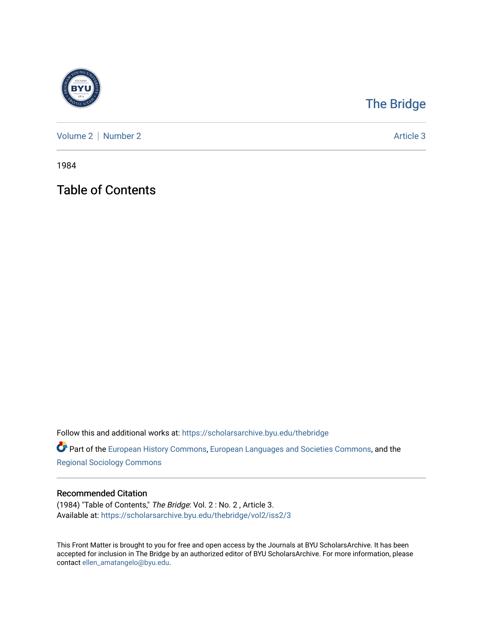

## [The Bridge](https://scholarsarchive.byu.edu/thebridge)

[Volume 2](https://scholarsarchive.byu.edu/thebridge/vol2) | [Number 2](https://scholarsarchive.byu.edu/thebridge/vol2/iss2) Article 3

1984

Table of Contents

Follow this and additional works at: [https://scholarsarchive.byu.edu/thebridge](https://scholarsarchive.byu.edu/thebridge?utm_source=scholarsarchive.byu.edu%2Fthebridge%2Fvol2%2Fiss2%2F3&utm_medium=PDF&utm_campaign=PDFCoverPages) 

**Part of the [European History Commons](http://network.bepress.com/hgg/discipline/492?utm_source=scholarsarchive.byu.edu%2Fthebridge%2Fvol2%2Fiss2%2F3&utm_medium=PDF&utm_campaign=PDFCoverPages), [European Languages and Societies Commons,](http://network.bepress.com/hgg/discipline/482?utm_source=scholarsarchive.byu.edu%2Fthebridge%2Fvol2%2Fiss2%2F3&utm_medium=PDF&utm_campaign=PDFCoverPages) and the** [Regional Sociology Commons](http://network.bepress.com/hgg/discipline/427?utm_source=scholarsarchive.byu.edu%2Fthebridge%2Fvol2%2Fiss2%2F3&utm_medium=PDF&utm_campaign=PDFCoverPages) 

## Recommended Citation

(1984) "Table of Contents," The Bridge: Vol. 2 : No. 2 , Article 3. Available at: [https://scholarsarchive.byu.edu/thebridge/vol2/iss2/3](https://scholarsarchive.byu.edu/thebridge/vol2/iss2/3?utm_source=scholarsarchive.byu.edu%2Fthebridge%2Fvol2%2Fiss2%2F3&utm_medium=PDF&utm_campaign=PDFCoverPages)

This Front Matter is brought to you for free and open access by the Journals at BYU ScholarsArchive. It has been accepted for inclusion in The Bridge by an authorized editor of BYU ScholarsArchive. For more information, please contact [ellen\\_amatangelo@byu.edu.](mailto:ellen_amatangelo@byu.edu)